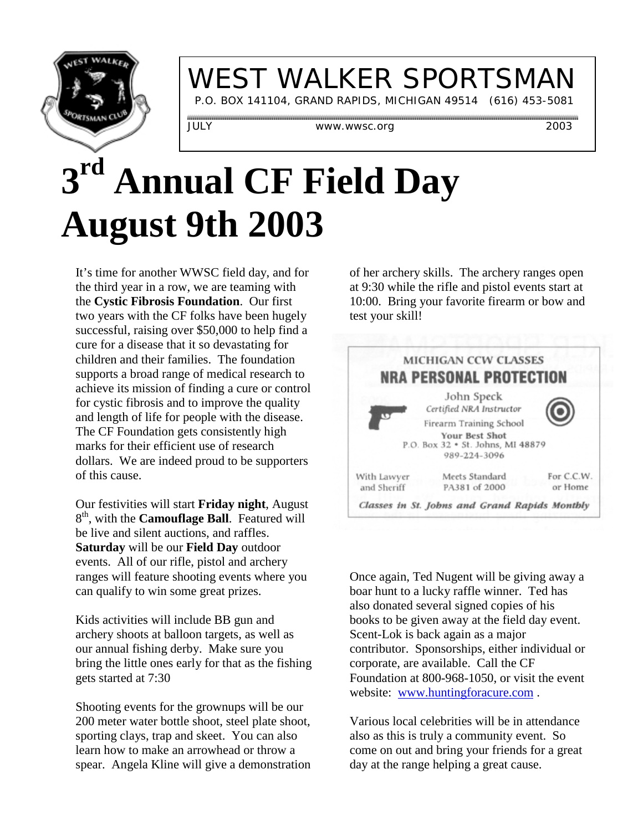

# WEST WALKER SPORTSMAN

P.O. BOX 141104, GRAND RAPIDS, MICHIGAN 49514 (616) 453-5081

JULY www.wwsc.org 2003

# **3rd Annual CF Field Day August 9th 2003**

It's time for another WWSC field day, and for the third year in a row, we are teaming with the **Cystic Fibrosis Foundation**. Our first two years with the CF folks have been hugely successful, raising over \$50,000 to help find a cure for a disease that it so devastating for children and their families. The foundation supports a broad range of medical research to achieve its mission of finding a cure or control for cystic fibrosis and to improve the quality and length of life for people with the disease. The CF Foundation gets consistently high marks for their efficient use of research dollars. We are indeed proud to be supporters of this cause.

Our festivities will start **Friday night**, August 8th, with the **Camouflage Ball**. Featured will be live and silent auctions, and raffles. **Saturday** will be our **Field Day** outdoor events. All of our rifle, pistol and archery ranges will feature shooting events where you can qualify to win some great prizes.

Kids activities will include BB gun and archery shoots at balloon targets, as well as our annual fishing derby. Make sure you bring the little ones early for that as the fishing gets started at 7:30

Shooting events for the grownups will be our 200 meter water bottle shoot, steel plate shoot, sporting clays, trap and skeet. You can also learn how to make an arrowhead or throw a spear. Angela Kline will give a demonstration of her archery skills. The archery ranges open at 9:30 while the rifle and pistol events start at 10:00. Bring your favorite firearm or bow and test your skill!



Once again, Ted Nugent will be giving away a boar hunt to a lucky raffle winner. Ted has also donated several signed copies of his books to be given away at the field day event. Scent-Lok is back again as a major contributor. Sponsorships, either individual or corporate, are available. Call the CF Foundation at 800-968-1050, or visit the event website: www.huntingforacure.com .

Various local celebrities will be in attendance also as this is truly a community event. So come on out and bring your friends for a great day at the range helping a great cause.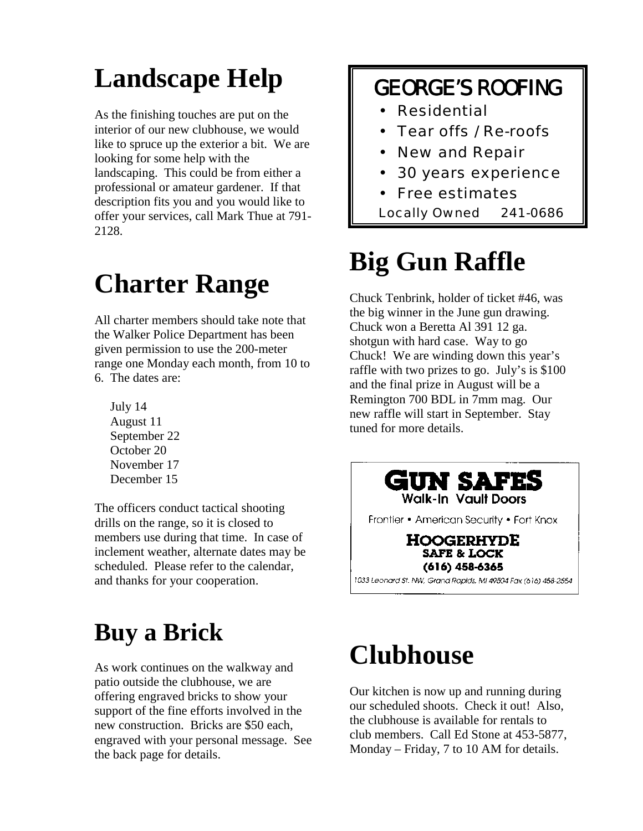## **Landscape Help**

As the finishing touches are put on the interior of our new clubhouse, we would like to spruce up the exterior a bit. We are looking for some help with the landscaping. This could be from either a professional or amateur gardener. If that description fits you and you would like to offer your services, call Mark Thue at 791- 2128.

## **Charter Range**

All charter members should take note that the Walker Police Department has been given permission to use the 200-meter range one Monday each month, from 10 to 6. The dates are:

 July 14 August 11 September 22 October 20 November 17 December 15

The officers conduct tactical shooting drills on the range, so it is closed to members use during that time. In case of inclement weather, alternate dates may be scheduled. Please refer to the calendar, and thanks for your cooperation.

### **Buy a Brick**

As work continues on the walkway and patio outside the clubhouse, we are offering engraved bricks to show your support of the fine efforts involved in the new construction. Bricks are \$50 each, engraved with your personal message. See the back page for details.

#### GEORGE'S ROOFING

- Residential
- Tear offs / Re-roofs
- New and Repair
- 30 years experience
- Free estimates
- Locally Owned 241-0686

# **Big Gun Raffle**

Chuck Tenbrink, holder of ticket #46, was the big winner in the June gun drawing. Chuck won a Beretta Al 391 12 ga. shotgun with hard case. Way to go Chuck! We are winding down this year's raffle with two prizes to go. July's is \$100 and the final prize in August will be a Remington 700 BDL in 7mm mag. Our new raffle will start in September. Stay tuned for more details.



# **Clubhouse**

Our kitchen is now up and running during our scheduled shoots. Check it out! Also, the clubhouse is available for rentals to club members. Call Ed Stone at 453-5877, Monday – Friday, 7 to 10 AM for details.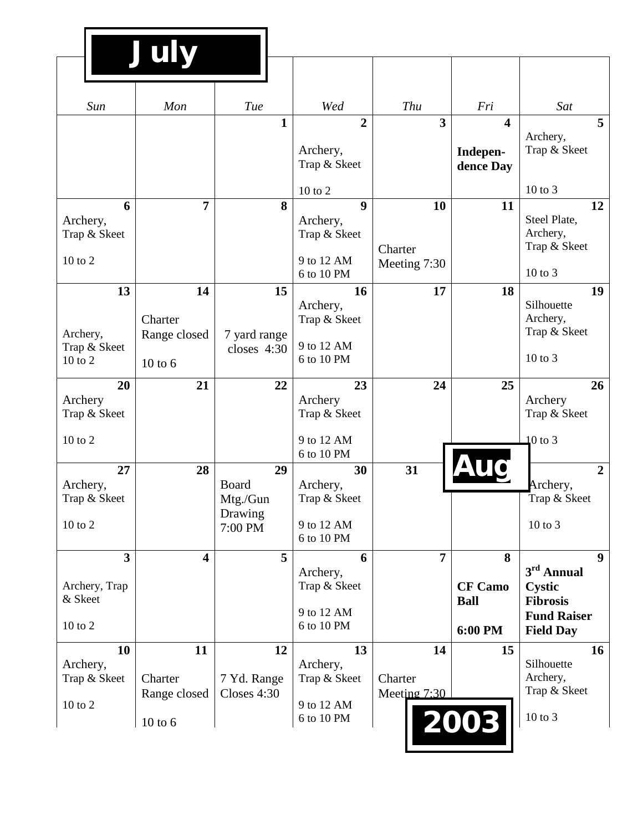|                                                                    | July                                         |                                                      |                                                            |                               |                                                  |                                                                                                              |
|--------------------------------------------------------------------|----------------------------------------------|------------------------------------------------------|------------------------------------------------------------|-------------------------------|--------------------------------------------------|--------------------------------------------------------------------------------------------------------------|
| Sun                                                                | Mon                                          | Tue                                                  | Wed                                                        | Thu                           | Fri                                              | Sat                                                                                                          |
|                                                                    |                                              | 1                                                    | $\overline{2}$<br>Archery,<br>Trap & Skeet                 | $\overline{\mathbf{3}}$       | $\overline{\mathbf{4}}$<br>Indepen-<br>dence Day | 5<br>Archery,<br>Trap & Skeet                                                                                |
| 6                                                                  | $\overline{7}$                               | 8                                                    | 10 to 2<br>$\boldsymbol{9}$                                | 10                            | 11                                               | 10 to 3<br>12                                                                                                |
| Archery,<br>Trap & Skeet<br>$10$ to $2$                            |                                              |                                                      | Archery,<br>Trap & Skeet<br>9 to 12 AM<br>6 to 10 PM       | Charter<br>Meeting 7:30       |                                                  | Steel Plate,<br>Archery,<br>Trap & Skeet<br>10 to 3                                                          |
| 13<br>Archery,<br>Trap & Skeet<br>$10$ to $2$                      | 14<br>Charter<br>Range closed<br>10 to 6     | 15<br>7 yard range<br>closes 4:30                    | 16<br>Archery,<br>Trap & Skeet<br>9 to 12 AM<br>6 to 10 PM | 17                            | 18                                               | 19<br>Silhouette<br>Archery,<br>Trap & Skeet<br>$10$ to $3$                                                  |
| 20<br>Archery<br>Trap & Skeet<br>$10$ to $2$                       | 21                                           | 22                                                   | 23<br>Archery<br>Trap & Skeet<br>9 to 12 AM<br>6 to 10 PM  | 24                            | 25                                               | 26<br>Archery<br>Trap & Skeet<br>$10$ to 3                                                                   |
| 27<br>Archery,<br>Trap & Skeet<br>$10$ to $2$                      | 28                                           | 29<br><b>Board</b><br>Mtg./Gun<br>Drawing<br>7:00 PM | 30<br>Archery,<br>Trap & Skeet<br>9 to 12 AM<br>6 to 10 PM | 31                            |                                                  | $\overline{2}$<br>Archery,<br>Trap & Skeet<br>$10$ to $3$                                                    |
| $\overline{\mathbf{3}}$<br>Archery, Trap<br>& Skeet<br>$10$ to $2$ | $\overline{\mathbf{4}}$                      | 5                                                    | 6<br>Archery,<br>Trap & Skeet<br>9 to 12 AM<br>6 to 10 PM  | $\overline{7}$                | 8<br><b>CF Camo</b><br><b>Ball</b><br>6:00 PM    | $\boldsymbol{9}$<br>3rd Annual<br><b>Cystic</b><br><b>Fibrosis</b><br><b>Fund Raiser</b><br><b>Field Day</b> |
| 10<br>Archery,<br>Trap & Skeet<br>$10$ to $2$                      | 11<br>Charter<br>Range closed<br>$10$ to $6$ | 12<br>7 Yd. Range<br>Closes 4:30                     | 13<br>Archery,<br>Trap & Skeet<br>9 to 12 AM<br>6 to 10 PM | 14<br>Charter<br>Meeting 7:30 | 15<br>2003                                       | 16<br>Silhouette<br>Archery,<br>Trap & Skeet<br>$10$ to $3$                                                  |